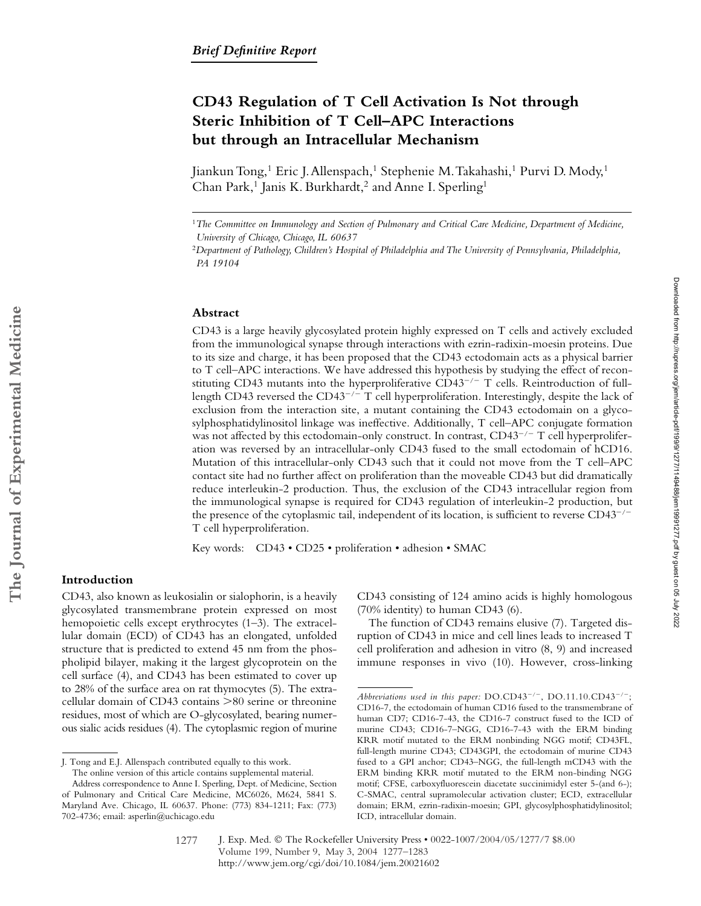# **CD43 Regulation of T Cell Activation Is Not through Steric Inhibition of T Cell–APC Interactions but through an Intracellular Mechanism**

Jiankun Tong,<sup>1</sup> Eric J. Allenspach,<sup>1</sup> Stephenie M. Takahashi,<sup>1</sup> Purvi D. Mody,<sup>1</sup> Chan Park,<sup>1</sup> Janis K. Burkhardt,<sup>2</sup> and Anne I. Sperling<sup>1</sup>

### **Abstract**

CD43 is a large heavily glycosylated protein highly expressed on T cells and actively excluded from the immunological synapse through interactions with ezrin-radixin-moesin proteins. Due to its size and charge, it has been proposed that the CD43 ectodomain acts as a physical barrier to T cell–APC interactions. We have addressed this hypothesis by studying the effect of reconstituting CD43 mutants into the hyperproliferative CD43<sup>-/-</sup> T cells. Reintroduction of fulllength CD43 reversed the CD43<sup>-/-</sup> T cell hyperproliferation. Interestingly, despite the lack of exclusion from the interaction site, a mutant containing the CD43 ectodomain on a glycosylphosphatidylinositol linkage was ineffective. Additionally, T cell–APC conjugate formation was not affected by this ectodomain-only construct. In contrast,  $CD43^{-/-}$  T cell hyperproliferation was reversed by an intracellular-only CD43 fused to the small ectodomain of hCD16. Mutation of this intracellular-only CD43 such that it could not move from the T cell–APC contact site had no further affect on proliferation than the moveable CD43 but did dramatically reduce interleukin-2 production. Thus, the exclusion of the CD43 intracellular region from the immunological synapse is required for CD43 regulation of interleukin-2 production, but the presence of the cytoplasmic tail, independent of its location, is sufficient to reverse CD43<sup>-/-</sup> T cell hyperproliferation.

Key words: CD43 • CD25 • proliferation • adhesion • SMAC

## **Introduction**

CD43, also known as leukosialin or sialophorin, is a heavily glycosylated transmembrane protein expressed on most hemopoietic cells except erythrocytes (1–3). The extracellular domain (ECD) of CD43 has an elongated, unfolded structure that is predicted to extend 45 nm from the phospholipid bilayer, making it the largest glycoprotein on the cell surface (4), and CD43 has been estimated to cover up to 28% of the surface area on rat thymocytes (5). The extracellular domain of CD43 contains  $>80$  serine or threonine residues, most of which are O-glycosylated, bearing numerous sialic acids residues (4). The cytoplasmic region of murine

CD43 consisting of 124 amino acids is highly homologous (70% identity) to human CD43 (6).

The function of CD43 remains elusive (7). Targeted disruption of CD43 in mice and cell lines leads to increased T cell proliferation and adhesion in vitro (8, 9) and increased immune responses in vivo (10). However, cross-linking Downloaded from http://rupress.org/jem/article-pdf/199/9/1277/1149488/jem19991277.pdf by guest on 05 July 2022 Downloaded from http://rupress.org/jem/article-pdf/199/9/1277/1149488/jem19991277.pdf by guest on 05 July 2022

<sup>1</sup>*The Committee on Immunology and Section of Pulmonary and Critical Care Medicine, Department of Medicine, University of Chicago, Chicago, IL 60637*

<sup>2</sup>*Department of Pathology, Children's Hospital of Philadelphia and The University of Pennsylvania, Philadelphia, PA 19104*

J. Tong and E.J. Allenspach contributed equally to this work. The online version of this article contains supplemental material.

Address correspondence to Anne I. Sperling, Dept. of Medicine, Section of Pulmonary and Critical Care Medicine, MC6026, M624, 5841 S. Maryland Ave. Chicago, IL 60637. Phone: (773) 834-1211; Fax: (773) 702-4736; email: asperlin@uchicago.edu

Abbreviations used in this paper:  $DO.CD43^{-/-}$ ,  $DO.11.10.CD43^{-/-}$ ; CD16-7, the ectodomain of human CD16 fused to the transmembrane of human CD7; CD16-7-43, the CD16-7 construct fused to the ICD of murine CD43; CD16-7–NGG, CD16-7-43 with the ERM binding KRR motif mutated to the ERM nonbinding NGG motif; CD43FL, full-length murine CD43; CD43GPI, the ectodomain of murine CD43 fused to a GPI anchor; CD43–NGG, the full-length mCD43 with the ERM binding KRR motif mutated to the ERM non-binding NGG motif; CFSE, carboxyfluorescein diacetate succinimidyl ester 5-(and 6-); C-SMAC, central supramolecular activation cluster; ECD, extracellular domain; ERM, ezrin-radixin-moesin; GPI, glycosylphosphatidylinositol; ICD, intracellular domain.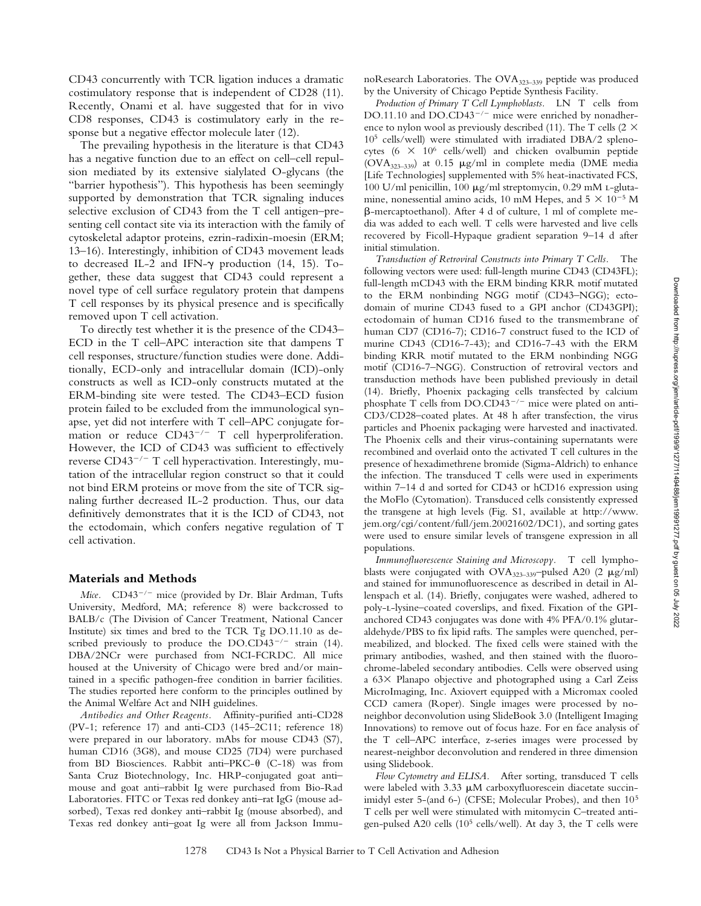CD43 concurrently with TCR ligation induces a dramatic costimulatory response that is independent of CD28 (11). Recently, Onami et al. have suggested that for in vivo CD8 responses, CD43 is costimulatory early in the response but a negative effector molecule later (12).

The prevailing hypothesis in the literature is that CD43 has a negative function due to an effect on cell–cell repulsion mediated by its extensive sialylated O-glycans (the "barrier hypothesis"). This hypothesis has been seemingly supported by demonstration that TCR signaling induces selective exclusion of CD43 from the T cell antigen–presenting cell contact site via its interaction with the family of cytoskeletal adaptor proteins, ezrin-radixin-moesin (ERM; 13–16). Interestingly, inhibition of CD43 movement leads to decreased IL-2 and IFN- $\gamma$  production (14, 15). Together, these data suggest that CD43 could represent a novel type of cell surface regulatory protein that dampens T cell responses by its physical presence and is specifically removed upon T cell activation.

To directly test whether it is the presence of the CD43– ECD in the T cell–APC interaction site that dampens T cell responses, structure/function studies were done. Additionally, ECD-only and intracellular domain (ICD)-only constructs as well as ICD-only constructs mutated at the ERM-binding site were tested. The CD43–ECD fusion protein failed to be excluded from the immunological synapse, yet did not interfere with T cell–APC conjugate formation or reduce CD43<sup>-/-</sup> T cell hyperproliferation. However, the ICD of CD43 was sufficient to effectively reverse CD43<sup>-/-</sup> T cell hyperactivation. Interestingly, mutation of the intracellular region construct so that it could not bind ERM proteins or move from the site of TCR signaling further decreased IL-2 production. Thus, our data definitively demonstrates that it is the ICD of CD43, not the ectodomain, which confers negative regulation of T cell activation.

#### **Materials and Methods**

Mice. CD43<sup>-/-</sup> mice (provided by Dr. Blair Ardman, Tufts University, Medford, MA; reference 8) were backcrossed to BALB/c (The Division of Cancer Treatment, National Cancer Institute) six times and bred to the TCR Tg DO.11.10 as described previously to produce the  $DO.CD43^{-/-}$  strain (14). DBA/2NCr were purchased from NCI-FCRDC. All mice housed at the University of Chicago were bred and/or maintained in a specific pathogen-free condition in barrier facilities. The studies reported here conform to the principles outlined by the Animal Welfare Act and NIH guidelines.

*Antibodies and Other Reagents.* Affinity-purified anti-CD28 (PV-1; reference 17) and anti-CD3 (145–2C11; reference 18) were prepared in our laboratory. mAbs for mouse CD43 (S7), human CD16 (3G8), and mouse CD25 (7D4) were purchased from BD Biosciences. Rabbit anti-PKC- $\theta$  (C-18) was from Santa Cruz Biotechnology, Inc. HRP-conjugated goat anti– mouse and goat anti–rabbit Ig were purchased from Bio-Rad Laboratories. FITC or Texas red donkey anti–rat IgG (mouse adsorbed), Texas red donkey anti–rabbit Ig (mouse absorbed), and Texas red donkey anti–goat Ig were all from Jackson Immu-

noResearch Laboratories. The OVA<sub>323-339</sub> peptide was produced by the University of Chicago Peptide Synthesis Facility.

*Production of Primary T Cell Lymphoblasts.* LN T cells from DO.11.10 and DO.CD43<sup>-/-</sup> mice were enriched by nonadherence to nylon wool as previously described (11). The T cells (2  $\times$ 105 cells/well) were stimulated with irradiated DBA/2 splenocytes (6  $\times$  10<sup>6</sup> cells/well) and chicken ovalbumin peptide ( $\text{OVA}_{323-339}$ ) at 0.15  $\mu$ g/ml in complete media (DME media [Life Technologies] supplemented with 5% heat-inactivated FCS, 100 U/ml penicillin, 100  $\mu$ g/ml streptomycin, 0.29 mM L-glutamine, nonessential amino acids, 10 mM Hepes, and  $5 \times 10^{-5}$  M -mercaptoethanol). After 4 d of culture, 1 ml of complete media was added to each well. T cells were harvested and live cells recovered by Ficoll-Hypaque gradient separation 9–14 d after initial stimulation.

*Transduction of Retroviral Constructs into Primary T Cells.* The following vectors were used: full-length murine CD43 (CD43FL); full-length mCD43 with the ERM binding KRR motif mutated to the ERM nonbinding NGG motif (CD43–NGG); ectodomain of murine CD43 fused to a GPI anchor (CD43GPI); ectodomain of human CD16 fused to the transmembrane of human CD7 (CD16-7); CD16-7 construct fused to the ICD of murine CD43 (CD16-7-43); and CD16-7-43 with the ERM binding KRR motif mutated to the ERM nonbinding NGG motif (CD16-7–NGG). Construction of retroviral vectors and transduction methods have been published previously in detail (14). Briefly, Phoenix packaging cells transfected by calcium phosphate T cells from DO.CD43<sup>-/-</sup> mice were plated on anti-CD3/CD28–coated plates. At 48 h after transfection, the virus particles and Phoenix packaging were harvested and inactivated. The Phoenix cells and their virus-containing supernatants were recombined and overlaid onto the activated T cell cultures in the presence of hexadimethrene bromide (Sigma-Aldrich) to enhance the infection. The transduced T cells were used in experiments within 7–14 d and sorted for CD43 or hCD16 expression using the MoFlo (Cytomation). Transduced cells consistently expressed the transgene at high levels (Fig. S1, available at http://www. jem.org/cgi/content/full/jem.20021602/DC1), and sorting gates were used to ensure similar levels of transgene expression in all populations.

*Immunofluorescence Staining and Microscopy.* T cell lymphoblasts were conjugated with  $OVA_{323-339}$ -pulsed A20 (2  $\mu$ g/ml) and stained for immunofluorescence as described in detail in Allenspach et al. (14). Briefly, conjugates were washed, adhered to poly-l-lysine–coated coverslips, and fixed. Fixation of the GPIanchored CD43 conjugates was done with 4% PFA/0.1% glutaraldehyde/PBS to fix lipid rafts. The samples were quenched, permeabilized, and blocked. The fixed cells were stained with the primary antibodies, washed, and then stained with the fluorochrome-labeled secondary antibodies. Cells were observed using a  $63 \times$  Planapo objective and photographed using a Carl Zeiss MicroImaging, Inc. Axiovert equipped with a Micromax cooled CCD camera (Roper). Single images were processed by noneighbor deconvolution using SlideBook 3.0 (Intelligent Imaging Innovations) to remove out of focus haze. For en face analysis of the T cell–APC interface, z-series images were processed by nearest-neighbor deconvolution and rendered in three dimension using Slidebook.

*Flow Cytometry and ELISA.* After sorting, transduced T cells were labeled with  $3.33 \mu$ M carboxyfluorescein diacetate succinimidyl ester 5-(and 6-) (CFSE; Molecular Probes), and then 105 T cells per well were stimulated with mitomycin C–treated antigen-pulsed A20 cells (105 cells/well). At day 3, the T cells were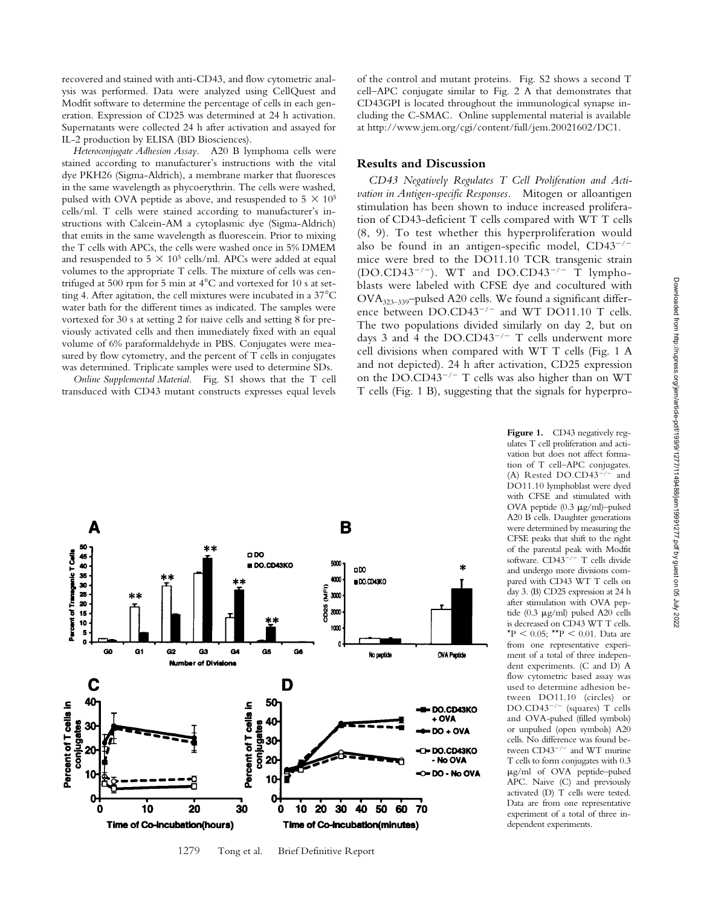recovered and stained with anti-CD43, and flow cytometric analysis was performed. Data were analyzed using CellQuest and Modfit software to determine the percentage of cells in each generation. Expression of CD25 was determined at 24 h activation. Supernatants were collected 24 h after activation and assayed for IL-2 production by ELISA (BD Biosciences).

*Heteroconjugate Adhesion Assay.* A20 B lymphoma cells were stained according to manufacturer's instructions with the vital dye PKH26 (Sigma-Aldrich), a membrane marker that fluoresces in the same wavelength as phycoerythrin. The cells were washed, pulsed with OVA peptide as above, and resuspended to  $5 \times 10^5$ cells/ml. T cells were stained according to manufacturer's instructions with Calcein-AM a cytoplasmic dye (Sigma-Aldrich) that emits in the same wavelength as fluorescein. Prior to mixing the T cells with APCs, the cells were washed once in 5% DMEM and resuspended to 5  $\times$  10<sup>5</sup> cells/ml. APCs were added at equal volumes to the appropriate T cells. The mixture of cells was centrifuged at 500 rpm for 5 min at  $4^{\circ}$ C and vortexed for 10 s at setting 4. After agitation, the cell mixtures were incubated in a  $37^{\circ}$ C water bath for the different times as indicated. The samples were vortexed for 30 s at setting 2 for naive cells and setting 8 for previously activated cells and then immediately fixed with an equal volume of 6% paraformaldehyde in PBS. Conjugates were measured by flow cytometry, and the percent of T cells in conjugates was determined. Triplicate samples were used to determine SDs.

*Online Supplemental Material.* Fig. S1 shows that the T cell transduced with CD43 mutant constructs expresses equal levels of the control and mutant proteins. Fig. S2 shows a second T cell–APC conjugate similar to Fig. 2 A that demonstrates that CD43GPI is located throughout the immunological synapse including the C-SMAC. Online supplemental material is available at http://www.jem.org/cgi/content/full/jem.20021602/DC1.

## **Results and Discussion**

*CD43 Negatively Regulates T Cell Proliferation and Activation in Antigen-specific Responses.* Mitogen or alloantigen stimulation has been shown to induce increased proliferation of CD43-deficient T cells compared with WT T cells (8, 9). To test whether this hyperproliferation would also be found in an antigen-specific model, CD43<sup>-/-</sup> mice were bred to the DO11.10 TCR transgenic strain  $(DO.CD43^{-/-})$ . WT and  $DO.CD43^{-/-}$  T lymphoblasts were labeled with CFSE dye and cocultured with OVA323–339–pulsed A20 cells. We found a significant difference between DO.CD43<sup>-/-</sup> and WT DO11.10 T cells. The two populations divided similarly on day 2, but on days 3 and 4 the  $DO.CD43^{-/-}$  T cells underwent more cell divisions when compared with WT T cells (Fig. 1 A and not depicted). 24 h after activation, CD25 expression on the DO.CD43<sup>-/-</sup> T cells was also higher than on WT T cells (Fig. 1 B), suggesting that the signals for hyperpro-



ulates T cell proliferation and activation but does not affect formation of T cell–APC conjugates. (A) Rested DO.CD43<sup>-/-</sup> and DO11.10 lymphoblast were dyed with CFSE and stimulated with OVA peptide  $(0.3 \text{ µg/ml})$ -pulsed A20 B cells. Daughter generations were determined by measuring the CFSE peaks that shift to the right of the parental peak with Modfit software. CD43<sup>-/-</sup> T cells divide and undergo more divisions compared with CD43 WT T cells on day 3. (B) CD25 expression at 24 h after stimulation with OVA peptide (0.3  $\mu$ g/ml) pulsed A20 cells is decreased on CD43 WT T cells. \*P  $< 0.05$ ; \*\*P  $< 0.01$ . Data are from one representative experiment of a total of three independent experiments. (C and D) A flow cytometric based assay was used to determine adhesion between DO11.10 (circles) or DO.CD43<sup>-/-</sup> (squares) T cells and OVA-pulsed (filled symbols) or unpulsed (open symbols) A20 cells. No difference was found between CD43<sup>-/-</sup> and WT murine T cells to form conjugates with 0.3 g/ml of OVA peptide–pulsed APC. Naive (C) and previously activated (D) T cells were tested. Data are from one representative experiment of a total of three independent experiments.

Figure 1. CD43 negatively reg-

<sup>1279</sup> Tong et al. Brief Definitive Report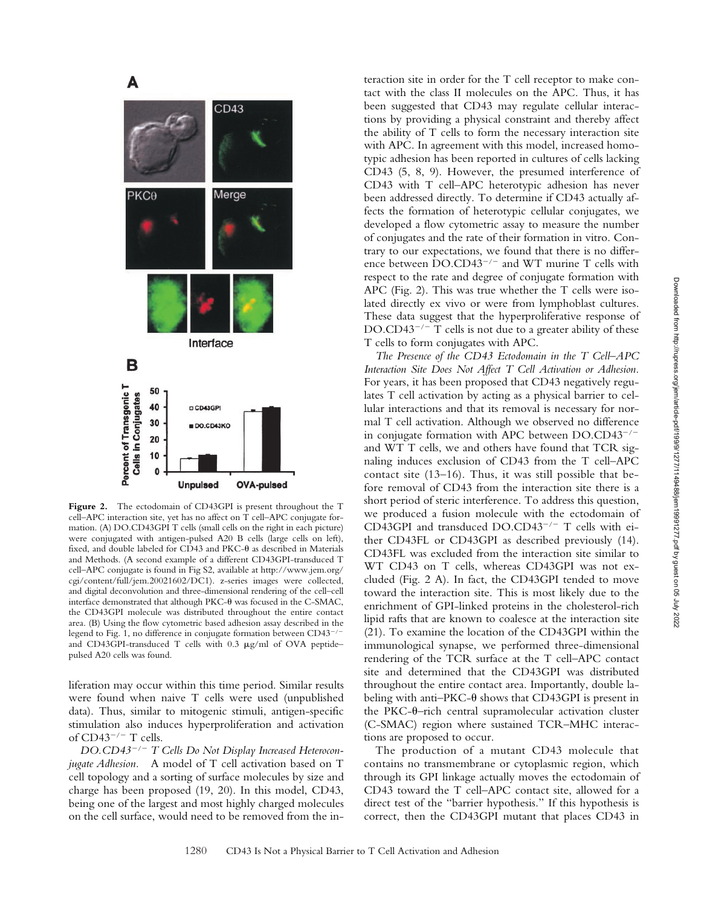



teraction site in order for the T cell receptor to make con-

The production of a mutant CD43 molecule that contains no transmembrane or cytoplasmic region, which through its GPI linkage actually moves the ectodomain of CD43 toward the T cell–APC contact site, allowed for a direct test of the "barrier hypothesis." If this hypothesis is correct, then the CD43GPI mutant that places CD43 in

**Unpulsed OVA-pulsed Figure 2.** The ectodomain of CD43GPI is present throughout the T cell–APC interaction site, yet has no affect on T cell–APC conjugate formation. (A) DO.CD43GPI T cells (small cells on the right in each picture) were conjugated with antigen-pulsed A20 B cells (large cells on left), fixed, and double labeled for CD43 and PKC- $\theta$  as described in Materials and Methods. (A second example of a different CD43GPI-transduced T cell–APC conjugate is found in Fig S2, available at http://www.jem.org/ cgi/content/full/jem.20021602/DC1). z-series images were collected, and digital deconvolution and three-dimensional rendering of the cell–cell interface demonstrated that although PKC- $\theta$  was focused in the C-SMAC, the CD43GPI molecule was distributed throughout the entire contact area. (B) Using the flow cytometric based adhesion assay described in the legend to Fig. 1, no difference in conjugate formation between CD43<sup>-/-</sup> and CD43GPI-transduced T cells with  $0.3 \mu$ g/ml of OVA peptide– pulsed A20 cells was found.

liferation may occur within this time period. Similar results were found when naive T cells were used (unpublished data). Thus, similar to mitogenic stimuli, antigen-specific stimulation also induces hyperproliferation and activation of  $CD43^{-/-}$  T cells.

*DO.CD43*-*/*- *T Cells Do Not Display Increased Heteroconjugate Adhesion.* A model of T cell activation based on T cell topology and a sorting of surface molecules by size and charge has been proposed (19, 20). In this model, CD43, being one of the largest and most highly charged molecules on the cell surface, would need to be removed from the in-



A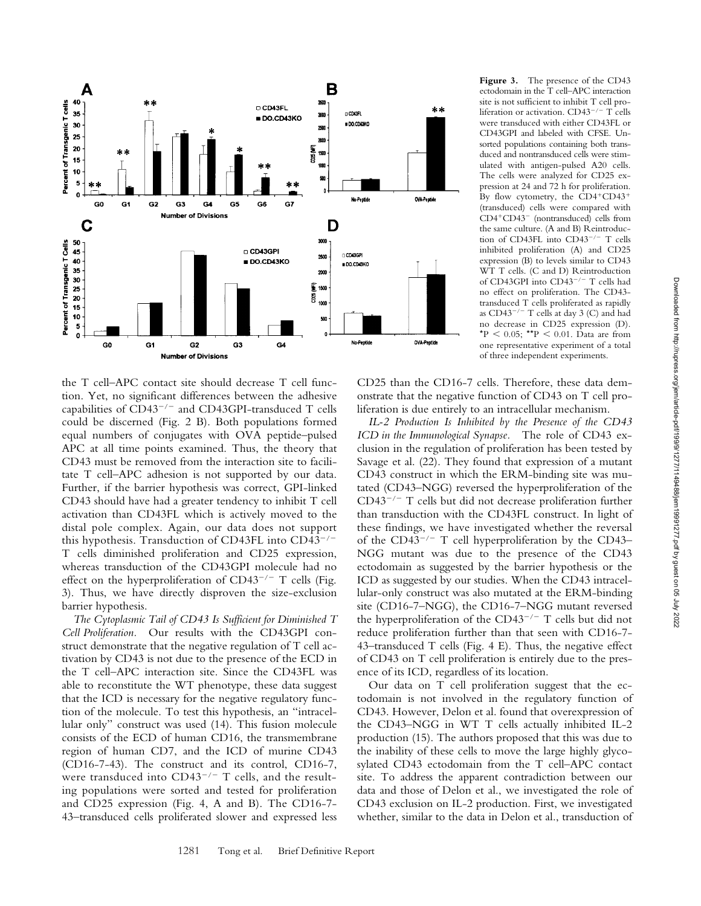

the T cell–APC contact site should decrease T cell function. Yet, no significant differences between the adhesive capabilities of CD43<sup>-/-</sup> and CD43GPI-transduced T cells could be discerned (Fig. 2 B). Both populations formed equal numbers of conjugates with OVA peptide–pulsed APC at all time points examined. Thus, the theory that CD43 must be removed from the interaction site to facilitate T cell–APC adhesion is not supported by our data. Further, if the barrier hypothesis was correct, GPI-linked CD43 should have had a greater tendency to inhibit T cell activation than CD43FL which is actively moved to the distal pole complex. Again, our data does not support this hypothesis. Transduction of CD43FL into CD43<sup>-/-</sup> T cells diminished proliferation and CD25 expression, whereas transduction of the CD43GPI molecule had no effect on the hyperproliferation of  $CD43^{-/-}$  T cells (Fig. 3). Thus, we have directly disproven the size-exclusion barrier hypothesis.

*The Cytoplasmic Tail of CD43 Is Sufficient for Diminished T Cell Proliferation.* Our results with the CD43GPI construct demonstrate that the negative regulation of T cell activation by CD43 is not due to the presence of the ECD in the T cell–APC interaction site. Since the CD43FL was able to reconstitute the WT phenotype, these data suggest that the ICD is necessary for the negative regulatory function of the molecule. To test this hypothesis, an "intracellular only" construct was used (14). This fusion molecule consists of the ECD of human CD16, the transmembrane region of human CD7, and the ICD of murine CD43 (CD16-7-43). The construct and its control, CD16-7, were transduced into  $CD43^{-/-}$  T cells, and the resulting populations were sorted and tested for proliferation and CD25 expression (Fig. 4, A and B). The CD16-7- 43–transduced cells proliferated slower and expressed less

**Figure 3.** The presence of the CD43 ectodomain in the T cell–APC interaction site is not sufficient to inhibit T cell proliferation or activation. CD43<sup>-/-</sup> T cells were transduced with either CD43FL or CD43GPI and labeled with CFSE. Unsorted populations containing both transduced and nontransduced cells were stimulated with antigen-pulsed A20 cells. The cells were analyzed for CD25 expression at 24 and 72 h for proliferation. By flow cytometry, the  $\text{CD4}^+\text{CD43}^+$ (transduced) cells were compared with CD4<sup>+</sup>CD43<sup>-</sup> (nontransduced) cells from the same culture. (A and B) Reintroduction of CD43FL into CD43<sup>-/-</sup> T cells inhibited proliferation (A) and CD25 expression (B) to levels similar to CD43 WT T cells. (C and D) Reintroduction of CD43GPI into CD43<sup>-/-</sup> T cells had no effect on proliferation. The CD43 transduced T cells proliferated as rapidly as  $CD43^{-/-}$  T cells at day 3 (C) and had no decrease in CD25 expression (D). \*P  $\leq 0.05$ ; \*\*P  $\leq 0.01$ . Data are from one representative experiment of a total of three independent experiments.

CD25 than the CD16-7 cells. Therefore, these data demonstrate that the negative function of CD43 on T cell proliferation is due entirely to an intracellular mechanism.

*IL-2 Production Is Inhibited by the Presence of the CD43 ICD in the Immunological Synapse.* The role of CD43 exclusion in the regulation of proliferation has been tested by Savage et al. (22). They found that expression of a mutant CD43 construct in which the ERM-binding site was mutated (CD43–NGG) reversed the hyperproliferation of the CD43<sup>-/-</sup> T cells but did not decrease proliferation further than transduction with the CD43FL construct. In light of these findings, we have investigated whether the reversal of the CD43<sup>-/-</sup> T cell hyperproliferation by the CD43-NGG mutant was due to the presence of the CD43 ectodomain as suggested by the barrier hypothesis or the ICD as suggested by our studies. When the CD43 intracellular-only construct was also mutated at the ERM-binding site (CD16-7–NGG), the CD16-7–NGG mutant reversed the hyperproliferation of the CD43<sup>-/-</sup> T cells but did not reduce proliferation further than that seen with CD16-7- 43–transduced T cells (Fig. 4 E). Thus, the negative effect of CD43 on T cell proliferation is entirely due to the presence of its ICD, regardless of its location.

Our data on T cell proliferation suggest that the ectodomain is not involved in the regulatory function of CD43. However, Delon et al. found that overexpression of the CD43–NGG in WT T cells actually inhibited IL-2 production (15). The authors proposed that this was due to the inability of these cells to move the large highly glycosylated CD43 ectodomain from the T cell–APC contact site. To address the apparent contradiction between our data and those of Delon et al., we investigated the role of CD43 exclusion on IL-2 production. First, we investigated whether, similar to the data in Delon et al., transduction of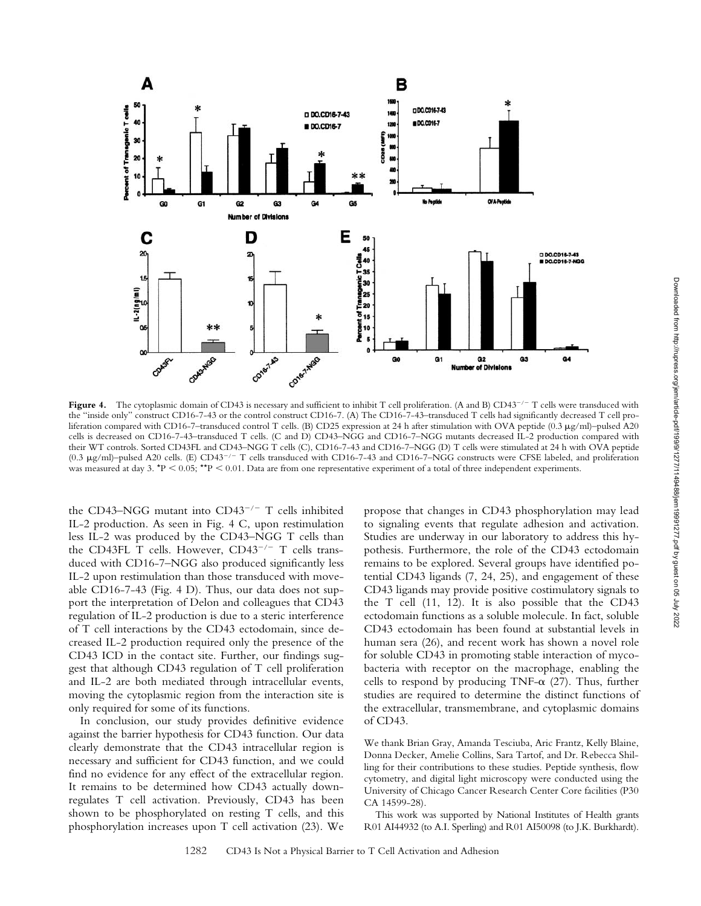

Figure 4. The cytoplasmic domain of CD43 is necessary and sufficient to inhibit T cell proliferation. (A and B) CD43<sup>-/-</sup> T cells were transduced with the "inside only" construct CD16-7-43 or the control construct CD16-7. (A) The CD16-7-43–transduced T cells had significantly decreased T cell proliferation compared with CD16-7-transduced control T cells. (B) CD25 expression at 24 h after stimulation with OVA peptide (0.3  $\mu$ g/ml)–pulsed A20 cells is decreased on CD16-7-43–transduced T cells. (C and D) CD43–NGG and CD16-7–NGG mutants decreased IL-2 production compared with their WT controls. Sorted CD43FL and CD43–NGG T cells (C), CD16-7-43 and CD16-7–NGG (D) T cells were stimulated at 24 h with OVA peptide (0.3 μg/ml)–pulsed A20 cells. (E) CD43<sup>-/-</sup> T cells transduced with CD16-7-43 and CD16-7-NGG constructs were CFSE labeled, and proliferation was measured at day 3.  $\text{*}P < 0.05$ ;  $\text{*}P < 0.01$ . Data are from one representative experiment of a total of three independent experiments.

the CD43-NGG mutant into CD43<sup>-/-</sup> T cells inhibited IL-2 production. As seen in Fig. 4 C, upon restimulation less IL-2 was produced by the CD43–NGG T cells than the CD43FL T cells. However, CD43<sup>-/-</sup> T cells transduced with CD16-7–NGG also produced significantly less IL-2 upon restimulation than those transduced with moveable CD16-7-43 (Fig. 4 D). Thus, our data does not support the interpretation of Delon and colleagues that CD43 regulation of IL-2 production is due to a steric interference of T cell interactions by the CD43 ectodomain, since decreased IL-2 production required only the presence of the CD43 ICD in the contact site. Further, our findings suggest that although CD43 regulation of T cell proliferation and IL-2 are both mediated through intracellular events, moving the cytoplasmic region from the interaction site is only required for some of its functions.

In conclusion, our study provides definitive evidence against the barrier hypothesis for CD43 function. Our data clearly demonstrate that the CD43 intracellular region is necessary and sufficient for CD43 function, and we could find no evidence for any effect of the extracellular region. It remains to be determined how CD43 actually downregulates T cell activation. Previously, CD43 has been shown to be phosphorylated on resting T cells, and this phosphorylation increases upon T cell activation (23). We propose that changes in CD43 phosphorylation may lead to signaling events that regulate adhesion and activation. Studies are underway in our laboratory to address this hypothesis. Furthermore, the role of the CD43 ectodomain remains to be explored. Several groups have identified potential CD43 ligands (7, 24, 25), and engagement of these CD43 ligands may provide positive costimulatory signals to the T cell (11, 12). It is also possible that the CD43 ectodomain functions as a soluble molecule. In fact, soluble CD43 ectodomain has been found at substantial levels in human sera (26), and recent work has shown a novel role for soluble CD43 in promoting stable interaction of mycobacteria with receptor on the macrophage, enabling the cells to respond by producing TNF- $\alpha$  (27). Thus, further studies are required to determine the distinct functions of the extracellular, transmembrane, and cytoplasmic domains of CD43.

We thank Brian Gray, Amanda Tesciuba, Aric Frantz, Kelly Blaine, Donna Decker, Amelie Collins, Sara Tartof, and Dr. Rebecca Shilling for their contributions to these studies. Peptide synthesis, flow cytometry, and digital light microscopy were conducted using the University of Chicago Cancer Research Center Core facilities (P30 CA 14599-28).

This work was supported by National Institutes of Health grants R01 AI44932 (to A.I. Sperling) and R01 AI50098 (to J.K. Burkhardt).